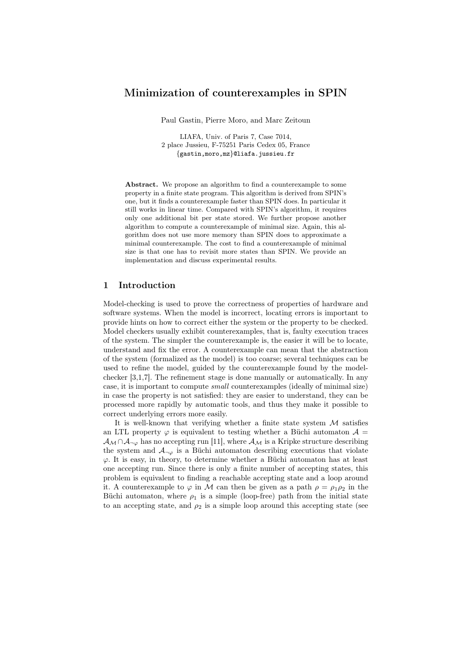# Minimization of counterexamples in SPIN

Paul Gastin, Pierre Moro, and Marc Zeitoun

LIAFA, Univ. of Paris 7, Case 7014, 2 place Jussieu, F-75251 Paris Cedex 05, France {gastin,moro,mz}@liafa.jussieu.fr

Abstract. We propose an algorithm to find a counterexample to some property in a finite state program. This algorithm is derived from SPIN's one, but it finds a counterexample faster than SPIN does. In particular it still works in linear time. Compared with SPIN's algorithm, it requires only one additional bit per state stored. We further propose another algorithm to compute a counterexample of minimal size. Again, this algorithm does not use more memory than SPIN does to approximate a minimal counterexample. The cost to find a counterexample of minimal size is that one has to revisit more states than SPIN. We provide an implementation and discuss experimental results.

# 1 Introduction

Model-checking is used to prove the correctness of properties of hardware and software systems. When the model is incorrect, locating errors is important to provide hints on how to correct either the system or the property to be checked. Model checkers usually exhibit counterexamples, that is, faulty execution traces of the system. The simpler the counterexample is, the easier it will be to locate, understand and fix the error. A counterexample can mean that the abstraction of the system (formalized as the model) is too coarse; several techniques can be used to refine the model, guided by the counterexample found by the modelchecker [3,1,7]. The refinement stage is done manually or automatically. In any case, it is important to compute small counterexamples (ideally of minimal size) in case the property is not satisfied: they are easier to understand, they can be processed more rapidly by automatic tools, and thus they make it possible to correct underlying errors more easily.

It is well-known that verifying whether a finite state system  $M$  satisfies an LTL property  $\varphi$  is equivalent to testing whether a Büchi automaton  $\mathcal{A} =$  $\mathcal{A}_{\mathcal{M}} \cap \mathcal{A}_{\neg \varphi}$  has no accepting run [11], where  $\mathcal{A}_{\mathcal{M}}$  is a Kripke structure describing the system and  $\mathcal{A}_{\neg\varphi}$  is a Büchi automaton describing executions that violate  $\varphi$ . It is easy, in theory, to determine whether a Büchi automaton has at least one accepting run. Since there is only a finite number of accepting states, this problem is equivalent to finding a reachable accepting state and a loop around it. A counterexample to  $\varphi$  in M can then be given as a path  $\rho = \rho_1 \rho_2$  in the Büchi automaton, where  $\rho_1$  is a simple (loop-free) path from the initial state to an accepting state, and  $\rho_2$  is a simple loop around this accepting state (see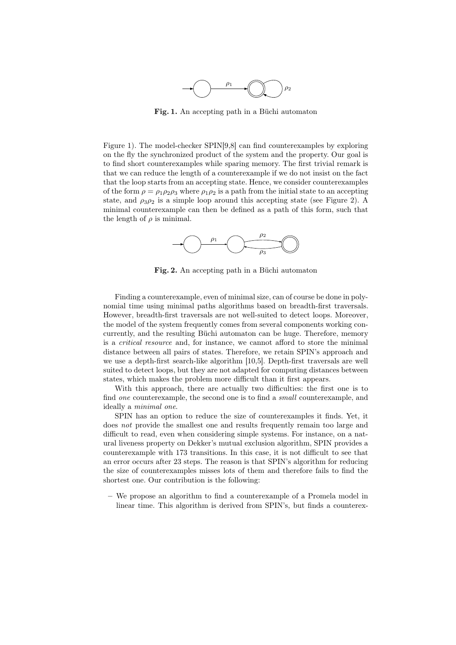

Fig. 1. An accepting path in a Büchi automaton

Figure 1). The model-checker SPIN[9,8] can find counterexamples by exploring on the fly the synchronized product of the system and the property. Our goal is to find short counterexamples while sparing memory. The first trivial remark is that we can reduce the length of a counterexample if we do not insist on the fact that the loop starts from an accepting state. Hence, we consider counterexamples of the form  $\rho = \rho_1 \rho_2 \rho_3$  where  $\rho_1 \rho_2$  is a path from the initial state to an accepting state, and  $\rho_3 \rho_2$  is a simple loop around this accepting state (see Figure 2). A minimal counterexample can then be defined as a path of this form, such that the length of  $\rho$  is minimal.



Fig. 2. An accepting path in a Büchi automaton

Finding a counterexample, even of minimal size, can of course be done in polynomial time using minimal paths algorithms based on breadth-first traversals. However, breadth-first traversals are not well-suited to detect loops. Moreover, the model of the system frequently comes from several components working concurrently, and the resulting Büchi automaton can be huge. Therefore, memory is a critical resource and, for instance, we cannot afford to store the minimal distance between all pairs of states. Therefore, we retain SPIN's approach and we use a depth-first search-like algorithm [10,5]. Depth-first traversals are well suited to detect loops, but they are not adapted for computing distances between states, which makes the problem more difficult than it first appears.

With this approach, there are actually two difficulties: the first one is to find one counterexample, the second one is to find a small counterexample, and ideally a minimal one.

SPIN has an option to reduce the size of counterexamples it finds. Yet, it does *not* provide the smallest one and results frequently remain too large and difficult to read, even when considering simple systems. For instance, on a natural liveness property on Dekker's mutual exclusion algorithm, SPIN provides a counterexample with 173 transitions. In this case, it is not difficult to see that an error occurs after 23 steps. The reason is that SPIN's algorithm for reducing the size of counterexamples misses lots of them and therefore fails to find the shortest one. Our contribution is the following:

– We propose an algorithm to find a counterexample of a Promela model in linear time. This algorithm is derived from SPIN's, but finds a counterex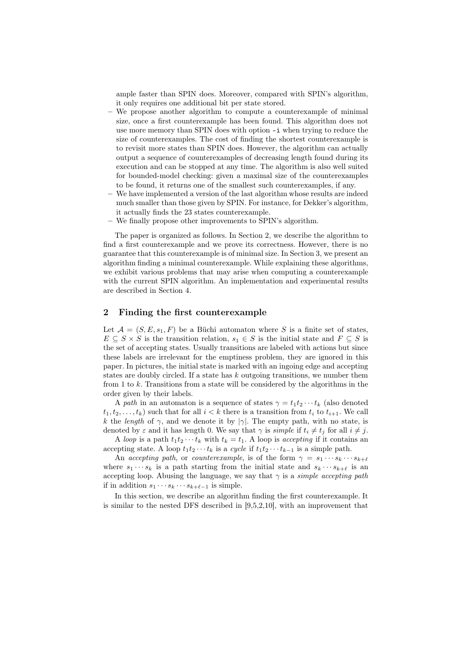ample faster than SPIN does. Moreover, compared with SPIN's algorithm, it only requires one additional bit per state stored.

- We propose another algorithm to compute a counterexample of minimal size, once a first counterexample has been found. This algorithm does not use more memory than SPIN does with option -i when trying to reduce the size of counterexamples. The cost of finding the shortest counterexample is to revisit more states than SPIN does. However, the algorithm can actually output a sequence of counterexamples of decreasing length found during its execution and can be stopped at any time. The algorithm is also well suited for bounded-model checking: given a maximal size of the counterexamples to be found, it returns one of the smallest such counterexamples, if any.
- We have implemented a version of the last algorithm whose results are indeed much smaller than those given by SPIN. For instance, for Dekker's algorithm, it actually finds the 23 states counterexample.
- We finally propose other improvements to SPIN's algorithm.

The paper is organized as follows. In Section 2, we describe the algorithm to find a first counterexample and we prove its correctness. However, there is no guarantee that this counterexample is of minimal size. In Section 3, we present an algorithm finding a minimal counterexample. While explaining these algorithms, we exhibit various problems that may arise when computing a counterexample with the current SPIN algorithm. An implementation and experimental results are described in Section 4.

## 2 Finding the first counterexample

Let  $\mathcal{A} = (S, E, s_1, F)$  be a Büchi automaton where S is a finite set of states,  $E \subseteq S \times S$  is the transition relation,  $s_1 \in S$  is the initial state and  $F \subseteq S$  is the set of accepting states. Usually transitions are labeled with actions but since these labels are irrelevant for the emptiness problem, they are ignored in this paper. In pictures, the initial state is marked with an ingoing edge and accepting states are doubly circled. If a state has  $k$  outgoing transitions, we number them from 1 to  $k$ . Transitions from a state will be considered by the algorithms in the order given by their labels.

A path in an automaton is a sequence of states  $\gamma = t_1 t_2 \cdots t_k$  (also denoted  $t_1, t_2, \ldots, t_k$  such that for all  $i < k$  there is a transition from  $t_i$  to  $t_{i+1}$ . We call k the length of  $\gamma$ , and we denote it by  $|\gamma|$ . The empty path, with no state, is denoted by  $\varepsilon$  and it has length 0. We say that  $\gamma$  is *simple* if  $t_i \neq t_j$  for all  $i \neq j$ .

A loop is a path  $t_1t_2 \cdots t_k$  with  $t_k = t_1$ . A loop is accepting if it contains an accepting state. A loop  $t_1t_2 \cdots t_k$  is a cycle if  $t_1t_2 \cdots t_{k-1}$  is a simple path.

An accepting path, or counterexample, is of the form  $\gamma = s_1 \cdots s_k \cdots s_{k+\ell}$ where  $s_1 \cdots s_k$  is a path starting from the initial state and  $s_k \cdots s_{k+\ell}$  is an accepting loop. Abusing the language, we say that  $\gamma$  is a *simple accepting path* if in addition  $s_1 \cdots s_k \cdots s_{k+\ell-1}$  is simple.

In this section, we describe an algorithm finding the first counterexample. It is similar to the nested DFS described in [9,5,2,10], with an improvement that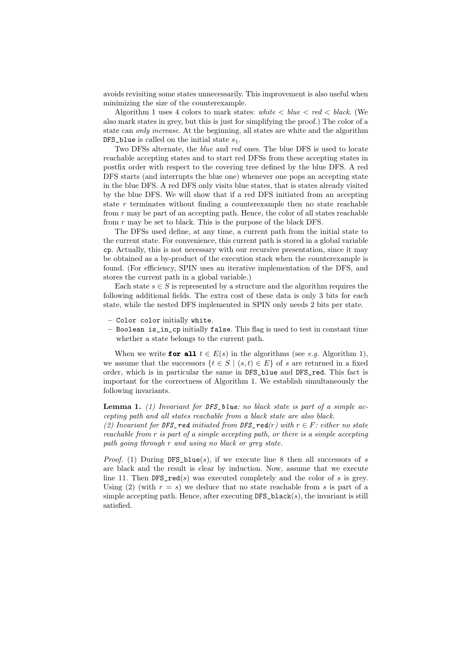avoids revisiting some states unnecessarily. This improvement is also useful when minimizing the size of the counterexample.

Algorithm 1 uses 4 colors to mark states: white  $\langle$  blue  $\langle$  red  $\langle$  black. (We also mark states in grey, but this is just for simplifying the proof.) The color of a state can only increase. At the beginning, all states are white and the algorithm DFS blue is called on the initial state  $s_1$ .

Two DFSs alternate, the blue and red ones. The blue DFS is used to locate reachable accepting states and to start red DFSs from these accepting states in postfix order with respect to the covering tree defined by the blue DFS. A red DFS starts (and interrupts the blue one) whenever one pops an accepting state in the blue DFS. A red DFS only visits blue states, that is states already visited by the blue DFS. We will show that if a red DFS initiated from an accepting state  $r$  terminates without finding a counterexample then no state reachable from  $r$  may be part of an accepting path. Hence, the color of all states reachable from  $r$  may be set to black. This is the purpose of the black DFS.

The DFSs used define, at any time, a current path from the initial state to the current state. For convenience, this current path is stored in a global variable cp. Actually, this is not necessary with our recursive presentation, since it may be obtained as a by-product of the execution stack when the counterexample is found. (For efficiency, SPIN uses an iterative implementation of the DFS, and stores the current path in a global variable.)

Each state  $s \in S$  is represented by a structure and the algorithm requires the following additional fields. The extra cost of these data is only 3 bits for each state, while the nested DFS implemented in SPIN only needs 2 bits per state.

- Color color initially white.
- Boolean is\_in\_cp initially false. This flag is used to test in constant time whether a state belongs to the current path.

When we write **for all**  $t \in E(s)$  in the algorithms (see *e.g.* Algorithm 1), we assume that the successors  $\{t \in S \mid (s,t) \in E\}$  of s are returned in a fixed order, which is in particular the same in DFS\_blue and DFS\_red. This fact is important for the correctness of Algorithm 1. We establish simultaneously the following invariants.

**Lemma 1.** (1) Invariant for  $DFS_b$  blue: no black state is part of a simple accepting path and all states reachable from a black state are also black.

(2) Invariant for DFS\_red initiated from DFS\_red(r) with  $r \in F$ : either no state reachable from  $r$  is part of a simple accepting path, or there is a simple accepting path going through r and using no black or grey state.

*Proof.* (1) During DFS\_blue(s), if we execute line 8 then all successors of s are black and the result is clear by induction. Now, assume that we execute line 11. Then  $DFS\_red(s)$  was executed completely and the color of s is grey. Using (2) (with  $r = s$ ) we deduce that no state reachable from s is part of a simple accepting path. Hence, after executing  $DFS\_black(s)$ , the invariant is still satisfied.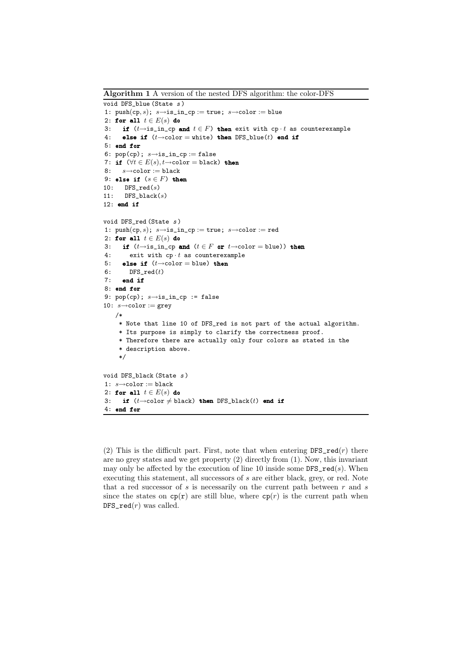Algorithm 1 A version of the nested DFS algorithm: the color-DFS void DFS\_blue (State s ) 1:  $push(cp, s); s \rightarrow is_in_cp := true; s \rightarrow color := blue$ 2: for all  $t\in E(s)$  do 3: if  $(t{\rightarrow}\texttt{is\_in\_cp}$  and  $t\in F)$  then exit with  $\texttt{cp}\cdot t$  as counterexample  $4:$ lse if  $(t{\rightarrow}\text{color}=\text{white})$  then <code>DFS\_blue( $t$ )</code> end if 5: end for 6:  $pop(cp); s \rightarrow is_in_cp := false$ 7: if  $(\forall t \in E(s), t \rightarrow color = black)$  then 8:  $s \rightarrow$ color := black 9: else if  $(s\in F)$  then 10: DFS  $red(s)$ 11:  $DFS\_black(s)$ 12: **end if** void DFS\_red (State s) 1:  $push(cp, s); s \rightarrow is_in_cp := true; s \rightarrow color := red$ 2: for all  $t\in E(s)$  do 3: if  $(t{\rightarrow}\texttt{is\_in\_cp}$  and  $(t\in F$  or  $t{\rightarrow}\texttt{color}=blue)$ ) then 4: exit with  $cp \cdot t$  as counterexample  $5:$ lse if  $(t{\to} {\sf color} = {\tt blue})$  then 6: DFS  $red(t)$ 7: **end if** 8: end for 9:  $pop(op)$ ;  $s \rightarrow is\_in\_cp$  := false 10:  $s \rightarrow$ color := grey /\* \* Note that line 10 of DFS\_red is not part of the actual algorithm. \* Its purpose is simply to clarify the correctness proof. \* Therefore there are actually only four colors as stated in the \* description above. \*/ void DFS\_black (State s ) 1:  $s \rightarrow$ color := black 2: for all  $t\in E(s)$  do 3: if  $(t{\rightarrow} {\sf color} \neq {\sf black})$  then <code>DFS\_black( $t$ )</code> end if 4: end for

(2) This is the difficult part. First, note that when entering  $DFS\_red(r)$  there are no grey states and we get property (2) directly from (1). Now, this invariant may only be affected by the execution of line 10 inside some  $DFS\_red(s)$ . When executing this statement, all successors of s are either black, grey, or red. Note that a red successor of s is necessarily on the current path between  $r$  and s since the states on  $cp(r)$  are still blue, where  $cp(r)$  is the current path when  $DFS_{red}(r)$  was called.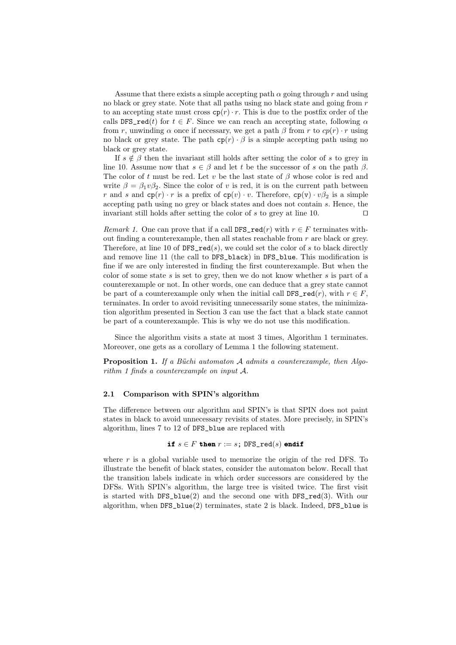Assume that there exists a simple accepting path  $\alpha$  going through r and using no black or grey state. Note that all paths using no black state and going from r to an accepting state must cross  $cp(r) \cdot r$ . This is due to the postfix order of the calls DFS\_red(t) for  $t \in F$ . Since we can reach an accepting state, following  $\alpha$ from r, unwinding  $\alpha$  once if necessary, we get a path  $\beta$  from r to  $cp(r) \cdot r$  using no black or grey state. The path  $cp(r) \cdot \beta$  is a simple accepting path using no black or grey state.

If  $s \notin \beta$  then the invariant still holds after setting the color of s to grey in line 10. Assume now that  $s \in \beta$  and let t be the successor of s on the path  $\beta$ . The color of t must be red. Let v be the last state of  $\beta$  whose color is red and write  $\beta = \beta_1 v \beta_2$ . Since the color of v is red, it is on the current path between r and s and  $cp(r) \cdot r$  is a prefix of  $cp(v) \cdot v$ . Therefore,  $cp(v) \cdot v\beta_2$  is a simple accepting path using no grey or black states and does not contain s. Hence, the invariant still holds after setting the color of s to grey at line 10.  $\Box$ 

Remark 1. One can prove that if a call DFS\_red(r) with  $r \in F$  terminates without finding a counterexample, then all states reachable from  $r$  are black or grey. Therefore, at line 10 of  $DFS\_red(s)$ , we could set the color of s to black directly and remove line 11 (the call to DFS\_black) in DFS\_blue. This modification is fine if we are only interested in finding the first counterexample. But when the color of some state s is set to grey, then we do not know whether s is part of a counterexample or not. In other words, one can deduce that a grey state cannot be part of a counterexample only when the initial call  $DFS\_red(r)$ , with  $r \in F$ , terminates. In order to avoid revisiting unnecessarily some states, the minimization algorithm presented in Section 3 can use the fact that a black state cannot be part of a counterexample. This is why we do not use this modification.

Since the algorithm visits a state at most 3 times, Algorithm 1 terminates. Moreover, one gets as a corollary of Lemma 1 the following statement.

**Proposition 1.** If a Büchi automaton  $\mathcal A$  admits a counterexample, then Algorithm 1 finds a counterexample on input A.

## 2.1 Comparison with SPIN's algorithm

The difference between our algorithm and SPIN's is that SPIN does not paint states in black to avoid unnecessary revisits of states. More precisely, in SPIN's algorithm, lines 7 to 12 of DFS\_blue are replaced with

#### if  $s\in F$  then  $r:=s$ ; <code>DFS\_red( $s)$ </code> endif

where  $r$  is a global variable used to memorize the origin of the red DFS. To illustrate the benefit of black states, consider the automaton below. Recall that the transition labels indicate in which order successors are considered by the DFSs. With SPIN's algorithm, the large tree is visited twice. The first visit is started with  $DFS_b \leq 2$  and the second one with  $DFS_{red}(3)$ . With our algorithm, when DFS\_blue(2) terminates, state 2 is black. Indeed, DFS\_blue is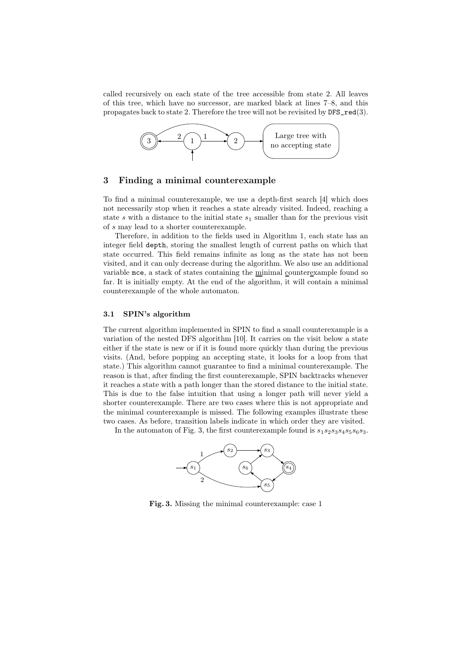called recursively on each state of the tree accessible from state 2. All leaves of this tree, which have no successor, are marked black at lines 7–8, and this propagates back to state 2. Therefore the tree will not be revisited by DFS\_red(3).



## 3 Finding a minimal counterexample

To find a minimal counterexample, we use a depth-first search [4] which does not necessarily stop when it reaches a state already visited. Indeed, reaching a state s with a distance to the initial state  $s_1$  smaller than for the previous visit of s may lead to a shorter counterexample.

Therefore, in addition to the fields used in Algorithm 1, each state has an integer field depth, storing the smallest length of current paths on which that state occurred. This field remains infinite as long as the state has not been visited, and it can only decrease during the algorithm. We also use an additional variable mce, a stack of states containing the minimal counterexample found so far. It is initially empty. At the end of the algorithm, it will contain a minimal counterexample of the whole automaton.

#### 3.1 SPIN's algorithm

The current algorithm implemented in SPIN to find a small counterexample is a variation of the nested DFS algorithm [10]. It carries on the visit below a state either if the state is new or if it is found more quickly than during the previous visits. (And, before popping an accepting state, it looks for a loop from that state.) This algorithm cannot guarantee to find a minimal counterexample. The reason is that, after finding the first counterexample, SPIN backtracks whenever it reaches a state with a path longer than the stored distance to the initial state. This is due to the false intuition that using a longer path will never yield a shorter counterexample. There are two cases where this is not appropriate and the minimal counterexample is missed. The following examples illustrate these two cases. As before, transition labels indicate in which order they are visited.

In the automaton of Fig. 3, the first counterexample found is  $s_1s_2s_3s_4s_5s_6s_3$ .



Fig. 3. Missing the minimal counterexample: case 1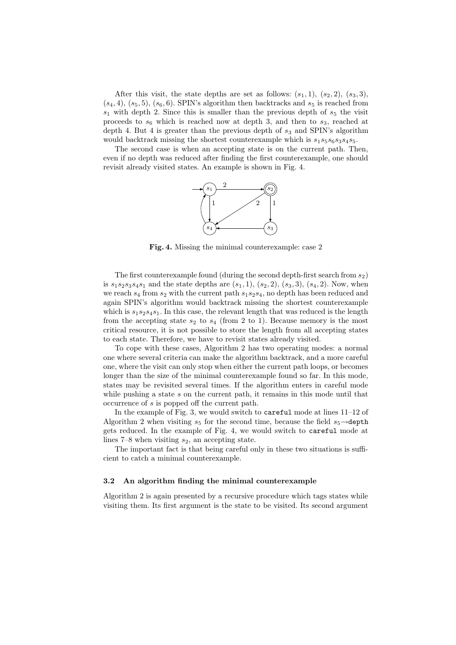After this visit, the state depths are set as follows:  $(s_1, 1)$ ,  $(s_2, 2)$ ,  $(s_3, 3)$ ,  $(s_4, 4)$ ,  $(s_5, 5)$ ,  $(s_6, 6)$ . SPIN's algorithm then backtracks and  $s_5$  is reached from  $s_1$  with depth 2. Since this is smaller than the previous depth of  $s_5$  the visit proceeds to  $s_6$  which is reached now at depth 3, and then to  $s_3$ , reached at depth 4. But 4 is greater than the previous depth of  $s_3$  and SPIN's algorithm would backtrack missing the shortest counterexample which is  $s_1s_5s_6s_3s_4s_5$ .

The second case is when an accepting state is on the current path. Then, even if no depth was reduced after finding the first counterexample, one should revisit already visited states. An example is shown in Fig. 4.



Fig. 4. Missing the minimal counterexample: case 2

The first counterexample found (during the second depth-first search from  $s_2$ ) is  $s_1s_2s_3s_4s_1$  and the state depths are  $(s_1, 1), (s_2, 2), (s_3, 3), (s_4, 2)$ . Now, when we reach  $s_4$  from  $s_2$  with the current path  $s_1s_2s_4$ , no depth has been reduced and again SPIN's algorithm would backtrack missing the shortest counterexample which is  $s_1s_2s_4s_1$ . In this case, the relevant length that was reduced is the length from the accepting state  $s_2$  to  $s_4$  (from 2 to 1). Because memory is the most critical resource, it is not possible to store the length from all accepting states to each state. Therefore, we have to revisit states already visited.

To cope with these cases, Algorithm 2 has two operating modes: a normal one where several criteria can make the algorithm backtrack, and a more careful one, where the visit can only stop when either the current path loops, or becomes longer than the size of the minimal counterexample found so far. In this mode, states may be revisited several times. If the algorithm enters in careful mode while pushing a state  $s$  on the current path, it remains in this mode until that occurrence of s is popped off the current path.

In the example of Fig. 3, we would switch to careful mode at lines  $11-12$  of Algorithm 2 when visiting  $s_5$  for the second time, because the field  $s_5 \rightarrow$ depth gets reduced. In the example of Fig. 4, we would switch to careful mode at lines  $7-8$  when visiting  $s_2$ , an accepting state.

The important fact is that being careful only in these two situations is sufficient to catch a minimal counterexample.

#### 3.2 An algorithm finding the minimal counterexample

Algorithm 2 is again presented by a recursive procedure which tags states while visiting them. Its first argument is the state to be visited. Its second argument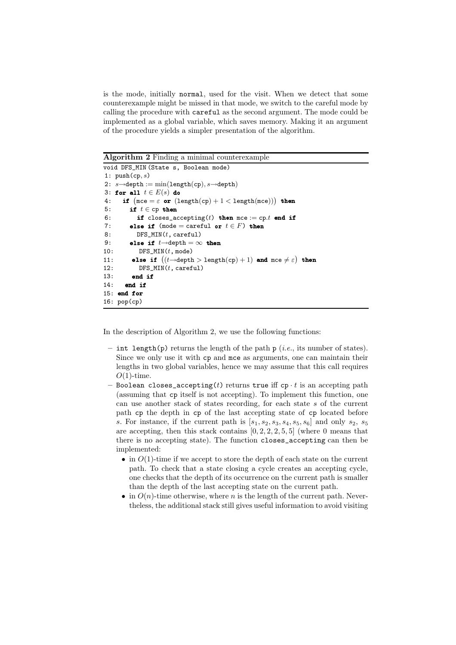is the mode, initially normal, used for the visit. When we detect that some counterexample might be missed in that mode, we switch to the careful mode by calling the procedure with careful as the second argument. The mode could be implemented as a global variable, which saves memory. Making it an argument of the procedure yields a simpler presentation of the algorithm.

Algorithm 2 Finding a minimal counterexample

```
void DFS_MIN (State s, Boolean mode)
1: push(cp, s)2: s \rightarrow depth := min(length(cp), s \rightarrow depth)
3: for all t\in E(s) do
4: if (\texttt{mce} = \varepsilon \texttt{ or } (\texttt{length}(\texttt{cp}) + 1 < \texttt{length}(\texttt{mce}))) then
5: if t \in \texttt{cp} then
6: if closes_accepting(t) then mce := cp.t end if
7.else if (mode = careful or t \in F) then
8: DFS_MIN(t, \text{careful})9:else if t\rightarrowdepth = \infty then
10: DFS_MIN(t, \text{mode})11:lse if \bigl((t{\rightarrow} {\mathtt{depth}}> {\mathtt{length}}(\mathtt{cp})+1\bigr) and {\mathtt{mce}}\neq \varepsilon\bigr) then
12: DFS_MIN(t, careful)13: end if
14: end if
15: end for
16: pop(cp)
```
In the description of Algorithm 2, we use the following functions:

- int length(p) returns the length of the path  $p$  (*i.e.*, its number of states). Since we only use it with cp and mce as arguments, one can maintain their lengths in two global variables, hence we may assume that this call requires  $O(1)$ -time.
- Boolean closes\_accepting(t) returns true iff  $cp \cdot t$  is an accepting path (assuming that cp itself is not accepting). To implement this function, one can use another stack of states recording, for each state s of the current path cp the depth in cp of the last accepting state of cp located before s. For instance, if the current path is  $[s_1, s_2, s_3, s_4, s_5, s_6]$  and only  $s_2$ ,  $s_5$ are accepting, then this stack contains  $[0, 2, 2, 2, 5, 5]$  (where 0 means that there is no accepting state). The function closes\_accepting can then be implemented:
	- in  $O(1)$ -time if we accept to store the depth of each state on the current path. To check that a state closing a cycle creates an accepting cycle, one checks that the depth of its occurrence on the current path is smaller than the depth of the last accepting state on the current path.
	- in  $O(n)$ -time otherwise, where n is the length of the current path. Nevertheless, the additional stack still gives useful information to avoid visiting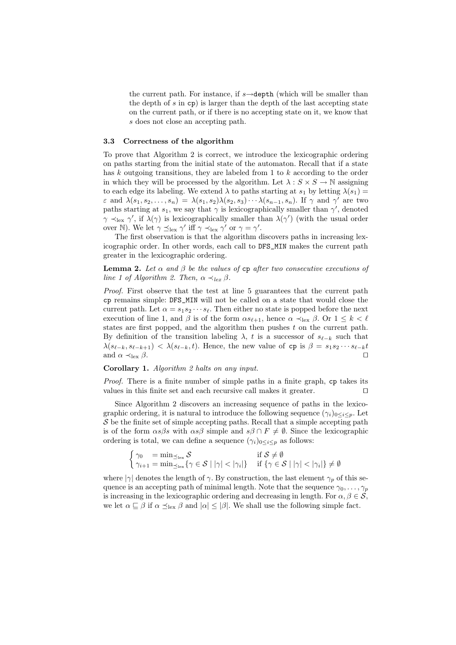the current path. For instance, if  $s \rightarrow$ depth (which will be smaller than the depth of s in  $cp$ ) is larger than the depth of the last accepting state on the current path, or if there is no accepting state on it, we know that s does not close an accepting path.

#### 3.3 Correctness of the algorithm

To prove that Algorithm 2 is correct, we introduce the lexicographic ordering on paths starting from the initial state of the automaton. Recall that if a state has  $k$  outgoing transitions, they are labeled from 1 to  $k$  according to the order in which they will be processed by the algorithm. Let  $\lambda : S \times S \to \mathbb{N}$  assigning to each edge its labeling. We extend  $\lambda$  to paths starting at  $s_1$  by letting  $\lambda(s_1)$  =  $\varepsilon$  and  $\lambda(s_1, s_2, \ldots, s_n) = \lambda(s_1, s_2) \lambda(s_2, s_3) \cdots \lambda(s_{n-1}, s_n)$ . If  $\gamma$  and  $\gamma'$  are two paths starting at  $s_1$ , we say that  $\gamma$  is lexicographically smaller than  $\gamma'$ , denoted  $\gamma \prec_{\text{lex}} \gamma'$ , if  $\lambda(\gamma)$  is lexicographically smaller than  $\lambda(\gamma')$  (with the usual order over N). We let  $\gamma \preceq_{\text{lex}} \gamma'$  iff  $\gamma \prec_{\text{lex}} \gamma'$  or  $\gamma = \gamma'$ .

The first observation is that the algorithm discovers paths in increasing lexicographic order. In other words, each call to DFS\_MIN makes the current path greater in the lexicographic ordering.

**Lemma 2.** Let  $\alpha$  and  $\beta$  be the values of  $cp$  after two consecutive executions of line 1 of Algorithm 2. Then,  $\alpha \prec_{lex} \beta$ .

Proof. First observe that the test at line 5 guarantees that the current path cp remains simple: DFS\_MIN will not be called on a state that would close the current path. Let  $\alpha = s_1 s_2 \cdots s_\ell$ . Then either no state is popped before the next execution of line 1, and  $\beta$  is of the form  $\alpha s_{\ell+1}$ , hence  $\alpha \prec_{\text{lex}} \beta$ . Or  $1 \leq k < \ell$ states are first popped, and the algorithm then pushes  $t$  on the current path. By definition of the transition labeling  $\lambda$ , t is a successor of  $s_{\ell-k}$  such that  $\lambda(s_{\ell-k}, s_{\ell-k+1}) < \lambda(s_{\ell-k}, t)$ . Hence, the new value of cp is  $\beta = s_1s_2 \cdots s_{\ell-k}t$ and  $\alpha \prec_{\text{lex}} \beta$ .

Corollary 1. Algorithm 2 halts on any input.

Proof. There is a finite number of simple paths in a finite graph, cp takes its values in this finite set and each recursive call makes it greater.  $\Box$ 

Since Algorithm 2 discovers an increasing sequence of paths in the lexicographic ordering, it is natural to introduce the following sequence  $(\gamma_i)_{0 \leq i \leq p}$ . Let  $S$  be the finite set of simple accepting paths. Recall that a simple accepting path is of the form  $\alpha s\beta s$  with  $\alpha s\beta$  simple and  $s\beta \cap F \neq \emptyset$ . Since the lexicographic ordering is total, we can define a sequence  $(\gamma_i)_{0 \leq i \leq p}$  as follows:

$$
\begin{cases}\n\gamma_0 &= \min_{\leq_{\text{lex}}} \mathcal{S} & \text{if } \mathcal{S} \neq \emptyset \\
\gamma_{i+1} = \min_{\leq_{\text{lex}}} \{\gamma \in \mathcal{S} \mid |\gamma| < |\gamma_i|\} & \text{if } \{\gamma \in \mathcal{S} \mid |\gamma| < |\gamma_i|\} \neq \emptyset\n\end{cases}
$$

where  $|\gamma|$  denotes the length of  $\gamma$ . By construction, the last element  $\gamma_p$  of this sequence is an accepting path of minimal length. Note that the sequence  $\gamma_0, \ldots, \gamma_p$ is increasing in the lexicographic ordering and decreasing in length. For  $\alpha, \beta \in \mathcal{S}$ , we let  $\alpha \subseteq \beta$  if  $\alpha \preceq_{\text{lex}} \beta$  and  $|\alpha| \leq |\beta|$ . We shall use the following simple fact.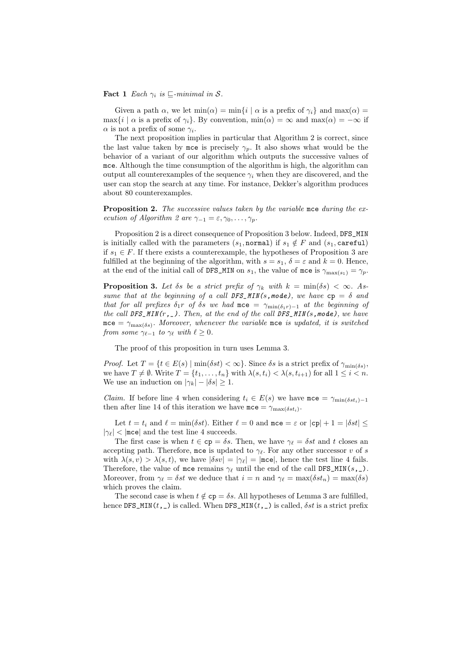**Fact 1** Each  $\gamma_i$  is  $\sqsubseteq$ -minimal in S.

Given a path  $\alpha$ , we let  $\min(\alpha) = \min\{i \mid \alpha \text{ is a prefix of } \gamma_i\}$  and  $\max(\alpha) =$  $\max\{i \mid \alpha \text{ is a prefix of } \gamma_i\}.$  By convention,  $\min(\alpha) = \infty$  and  $\max(\alpha) = -\infty$  if  $\alpha$  is not a prefix of some  $\gamma_i$ .

The next proposition implies in particular that Algorithm 2 is correct, since the last value taken by mce is precisely  $\gamma_p$ . It also shows what would be the behavior of a variant of our algorithm which outputs the successive values of mce. Although the time consumption of the algorithm is high, the algorithm can output all counterexamples of the sequence  $\gamma_i$  when they are discovered, and the user can stop the search at any time. For instance, Dekker's algorithm produces about 80 counterexamples.

Proposition 2. The successive values taken by the variable more during the execution of Algorithm 2 are  $\gamma_{-1} = \varepsilon, \gamma_0, \ldots, \gamma_p$ .

Proposition 2 is a direct consequence of Proposition 3 below. Indeed, DFS\_MIN is initially called with the parameters  $(s_1, \text{normal})$  if  $s_1 \notin F$  and  $(s_1, \text{careful})$ if  $s_1 \in F$ . If there exists a counterexample, the hypotheses of Proposition 3 are fulfilled at the beginning of the algorithm, with  $s = s_1$ ,  $\delta = \varepsilon$  and  $k = 0$ . Hence, at the end of the initial call of DFS\_MIN on  $s_1$ , the value of mce is  $\gamma_{\max(s_1)} = \gamma_p$ .

**Proposition 3.** Let δs be a strict prefix of  $\gamma_k$  with  $k = \min(\delta s) < \infty$ . Assume that at the beginning of a call DFS\_MIN(s, mode), we have  $cp = \delta$  and that for all prefixes  $\delta_1r$  of  $\delta s$  we had mce =  $\gamma_{\min(\delta_1r)-1}$  at the beginning of the call  $DFS\_MIN(r, \_$ ). Then, at the end of the call  $DFS\_MIN(s, mode)$ , we have  $\mathsf{mce} = \gamma_{\max(\delta s)}.$  Moreover, whenever the variable  $\mathsf{mce}$  is updated, it is switched from some  $\gamma_{\ell-1}$  to  $\gamma_{\ell}$  with  $\ell \geq 0$ .

The proof of this proposition in turn uses Lemma 3.

*Proof.* Let  $T = \{t \in E(s) \mid \min(\delta st) < \infty\}$ . Since  $\delta s$  is a strict prefix of  $\gamma_{\min(\delta s)}$ , we have  $T \neq \emptyset$ . Write  $T = \{t_1, \ldots, t_n\}$  with  $\lambda(s, t_i) < \lambda(s, t_{i+1})$  for all  $1 \leq i < n$ . We use an induction on  $|\gamma_k| - |\delta s| \geq 1$ .

*Claim.* If before line 4 when considering  $t_i \in E(s)$  we have mce =  $\gamma_{\min(\delta st_i)-1}$ then after line 14 of this iteration we have  $mce = \gamma_{\text{max}(\delta s t_i)}$ .

Let  $t = t_i$  and  $\ell = \min(\delta st)$ . Either  $\ell = 0$  and  $mce = \varepsilon$  or  $|cp| + 1 = |\delta st| \le$  $|\gamma_{\ell}|$  < |mce| and the test line 4 succeeds.

The first case is when  $t \in \text{cp} = \delta s$ . Then, we have  $\gamma_{\ell} = \delta st$  and t closes and accepting path. Therefore, mce is updated to  $\gamma_{\ell}$ . For any other successor v of s with  $\lambda(s, v) > \lambda(s, t)$ , we have  $|\delta s v| = |\gamma_{\ell}| = |\text{mce}|$ , hence the test line 4 fails. Therefore, the value of mce remains  $\gamma_{\ell}$  until the end of the call DFS\_MIN(s,\_). Moreover, from  $\gamma_{\ell} = \delta st$  we deduce that  $i = n$  and  $\gamma_{\ell} = \max(\delta st_n) = \max(\delta s)$ which proves the claim.

The second case is when  $t \notin \mathsf{cp} = \delta s$ . All hypotheses of Lemma 3 are fulfilled, hence DFS\_MIN(t, \_) is called. When DFS\_MIN(t, \_) is called,  $\delta st$  is a strict prefix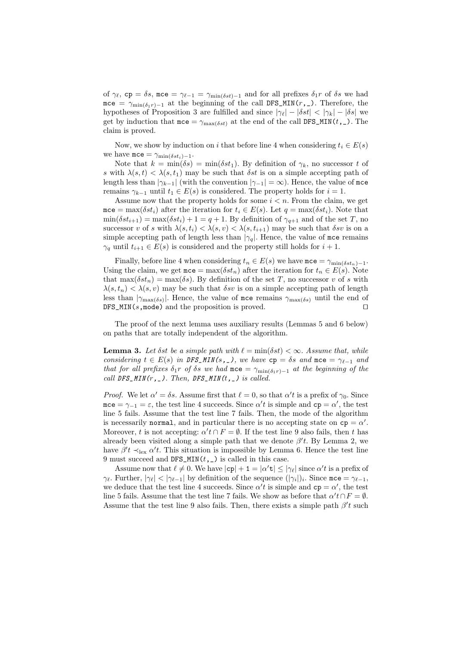of  $\gamma_{\ell}$ , cp =  $\delta s$ , mce =  $\gamma_{\ell-1} = \gamma_{\min(\delta st)-1}$  and for all prefixes  $\delta_1 r$  of  $\delta s$  we had mce =  $\gamma_{\min(\delta_1 r)-1}$  at the beginning of the call DFS\_MIN(r, \_). Therefore, the hypotheses of Proposition 3 are fulfilled and since  $|\gamma_{\ell}| - |\delta st| < |\gamma_k| - |\delta s|$  we get by induction that  $mce = \gamma_{max(\delta s t)}$  at the end of the call DFS\_MIN(t,\_). The claim is proved.

Now, we show by induction on i that before line 4 when considering  $t_i \in E(s)$ we have  $mce = \gamma_{\min(\delta st_i)-1}$ .

Note that  $k = \min(\delta s) = \min(\delta s t_1)$ . By definition of  $\gamma_k$ , no successor t of s with  $\lambda(s,t) < \lambda(s,t_1)$  may be such that  $\delta st$  is on a simple accepting path of length less than  $|\gamma_{k-1}|$  (with the convention  $|\gamma_{-1}| = \infty$ ). Hence, the value of mce remains  $\gamma_{k-1}$  until  $t_1 \in E(s)$  is considered. The property holds for  $i = 1$ .

Assume now that the property holds for some  $i < n$ . From the claim, we get mce = max( $\delta st_i$ ) after the iteration for  $t_i \in E(s)$ . Let  $q = \max(\delta st_i)$ . Note that  $min(\delta st_{i+1}) = max(\delta st_i) + 1 = q + 1$ . By definition of  $\gamma_{q+1}$  and of the set T, no successor v of s with  $\lambda(s,t_i) < \lambda(s,t_i) < \lambda(s,t_{i+1})$  may be such that  $\delta s v$  is on a simple accepting path of length less than  $|\gamma_q|$ . Hence, the value of mce remains  $\gamma_q$  until  $t_{i+1} \in E(s)$  is considered and the property still holds for  $i+1$ .

Finally, before line 4 when considering  $t_n \in E(s)$  we have  $\text{mce} = \gamma_{\min(\delta st_n)-1}$ . Using the claim, we get  $mce = max(\delta st_n)$  after the iteration for  $t_n \in E(s)$ . Note that  $\max(\delta st_n) = \max(\delta s)$ . By definition of the set T, no successor v of s with  $\lambda(s,t_n) < \lambda(s,v)$  may be such that  $\delta sv$  is on a simple accepting path of length less than  $|\gamma_{\max(\delta s)}|$ . Hence, the value of mce remains  $\gamma_{\max(\delta s)}$  until the end of  $DFS\_MIN(s, mode)$  and the proposition is proved.

The proof of the next lemma uses auxiliary results (Lemmas 5 and 6 below) on paths that are totally independent of the algorithm.

**Lemma 3.** Let  $\delta$ st be a simple path with  $\ell = \min(\delta s t) < \infty$ . Assume that, while considering  $t \in E(s)$  in DFS\_MIN(s, \_), we have  $cp = \delta s$  and mce  $= \gamma_{\ell-1}$  and that for all prefixes  $\delta_1 r$  of  $\delta s$  we had mce =  $\gamma_{\min(\delta_1 r)-1}$  at the beginning of the call  $DFS\_MIN(r, \_$ ). Then,  $DFS\_MIN(t, \_)$  is called.

*Proof.* We let  $\alpha' = \delta s$ . Assume first that  $\ell = 0$ , so that  $\alpha' t$  is a prefix of  $\gamma_0$ . Since mce =  $\gamma_{-1} = \varepsilon$ , the test line 4 succeeds. Since  $\alpha' t$  is simple and  $cp = \alpha'$ , the test line 5 fails. Assume that the test line 7 fails. Then, the mode of the algorithm is necessarily normal, and in particular there is no accepting state on  $cp = \alpha'$ . Moreover, t is not accepting:  $\alpha' t \cap F = \emptyset$ . If the test line 9 also fails, then t has already been visited along a simple path that we denote  $\beta'$ t. By Lemma 2, we have  $\beta' t \prec_{\text{lex}} \alpha' t$ . This situation is impossible by Lemma 6. Hence the test line 9 must succeed and DFS\_MIN $(t, \_)$  is called in this case.

Assume now that  $\ell \neq 0$ . We have  $|\mathbf{cp}| + 1 = |\alpha' \mathbf{t}| \leq |\gamma_{\ell}|$  since  $\alpha' t$  is a prefix of  $\gamma_{\ell}$ . Further,  $|\gamma_{\ell}| < |\gamma_{\ell-1}|$  by definition of the sequence  $(|\gamma_i|)_i$ . Since mce =  $\gamma_{\ell-1}$ , we deduce that the test line 4 succeeds. Since  $\alpha'$  is simple and  $cp = \alpha'$ , the test line 5 fails. Assume that the test line 7 fails. We show as before that  $\alpha' t \cap F = \emptyset$ . Assume that the test line 9 also fails. Then, there exists a simple path  $\beta' t$  such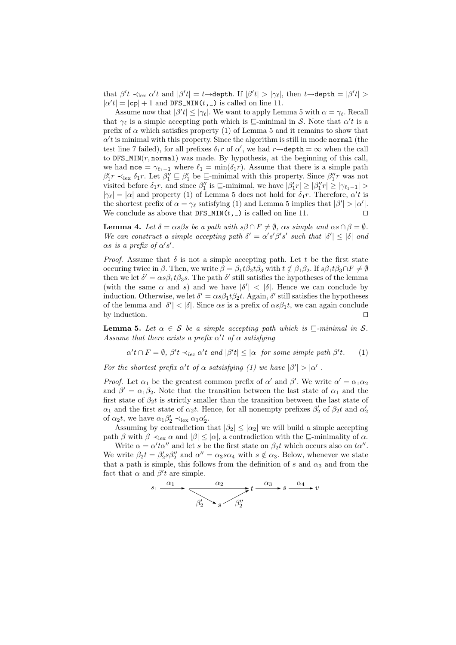that  $\beta' t \prec_{\text{lex}} \alpha' t$  and  $|\beta' t| = t \rightarrow$ depth. If  $|\beta' t| > |\gamma_{\ell}|$ , then  $t \rightarrow$ depth =  $|\beta' t| >$  $|\alpha' t| = |\mathbf{c} \mathbf{p}| + 1$  and DFS\_MIN(t, \_) is called on line 11.

Assume now that  $|\beta' t| \le |\gamma_{\ell}|$ . We want to apply Lemma 5 with  $\alpha = \gamma_{\ell}$ . Recall that  $\gamma_{\ell}$  is a simple accepting path which is  $\sqsubseteq$ -minimal in S. Note that  $\alpha' t$  is a prefix of  $\alpha$  which satisfies property (1) of Lemma 5 and it remains to show that  $\alpha'$ t is minimal with this property. Since the algorithm is still in mode normal (the test line 7 failed), for all prefixes  $\delta_1 r$  of  $\alpha'$ , we had  $r \rightarrow$ depth =  $\infty$  when the call to DFS\_MIN( $r$ , normal) was made. By hypothesis, at the beginning of this call, we had mce =  $\gamma_{\ell_1-1}$  where  $\ell_1 = \min(\delta_1 r)$ . Assume that there is a simple path  $\beta'_1 r \prec_{\text{lex}} \delta_1 r$ . Let  $\beta''_1 \sqsubseteq \beta'_1$  be  $\sqsubseteq$ -minimal with this property. Since  $\beta''_1 r$  was not visited before  $\delta_1 r$ , and since  $\beta_1''$  is  $\sqsubseteq$ -minimal, we have  $|\beta_1' r| \ge |\beta_1'' r| \ge |\gamma_{\ell_1 - 1}| >$  $|\gamma_{\ell}| = |\alpha|$  and property (1) of Lemma 5 does not hold for  $\delta_1 r$ . Therefore,  $\alpha' t$  is the shortest prefix of  $\alpha = \gamma_{\ell}$  satisfying (1) and Lemma 5 implies that  $|\beta'| > |\alpha'|$ . We conclude as above that DFS\_MIN( $t$ , \_) is called on line 11.  $\square$ 

**Lemma 4.** Let  $\delta = \alpha s \beta s$  be a path with  $s \beta \cap F \neq \emptyset$ , as simple and  $\alpha s \cap \beta = \emptyset$ . We can construct a simple accepting path  $\delta' = \alpha' s' \beta' s'$  such that  $|\delta'| \leq |\delta|$  and  $\alpha s$  is a prefix of  $\alpha's'$ .

*Proof.* Assume that  $\delta$  is not a simple accepting path. Let t be the first state occuring twice in β. Then, we write  $\beta = \beta_1 t \beta_2 t \beta_3$  with  $t \notin \beta_1 \beta_2$ . If  $s\beta_1 t \beta_3 \cap F \neq \emptyset$ then we let  $\delta' = \alpha s \beta_1 t \beta_3 s$ . The path  $\delta'$  still satisfies the hypotheses of the lemma (with the same  $\alpha$  and s) and we have  $|\delta'| < |\delta|$ . Hence we can conclude by induction. Otherwise, we let  $\delta' = \alpha s \beta_1 t \beta_2 t$ . Again,  $\delta'$  still satisfies the hypotheses of the lemma and  $|\delta'| < |\delta|$ . Since  $\alpha s$  is a prefix of  $\alpha s \beta_1 t$ , we can again conclude by induction.  $\Box$ 

**Lemma 5.** Let  $\alpha \in S$  be a simple accepting path which is  $\sqsubseteq$ -minimal in S. Assume that there exists a prefix  $\alpha'$ t of  $\alpha$  satisfying

 $\alpha'$ t  $\cap$  F = Ø,  $\beta'$ t  $\prec_{lex} \alpha'$ t and  $|\beta'$ t|  $\leq |\alpha|$  for some simple path  $\beta'$  $(1)$ 

For the shortest prefix  $\alpha'$ t of  $\alpha$  satsisfying (1) we have  $|\beta'| > |\alpha'|$ .

*Proof.* Let  $\alpha_1$  be the greatest common prefix of  $\alpha'$  and  $\beta'$ . We write  $\alpha' = \alpha_1 \alpha_2$ and  $\beta' = \alpha_1 \beta_2$ . Note that the transition between the last state of  $\alpha_1$  and the first state of  $\beta_2 t$  is strictly smaller than the transition between the last state of  $\alpha_1$  and the first state of  $\alpha_2 t$ . Hence, for all nonempty prefixes  $\beta_2'$  of  $\beta_2 t$  and  $\alpha_2'$ of  $\alpha_2 t$ , we have  $\alpha_1 \beta_2' \prec_{\text{lex}} \alpha_1 \alpha_2'$ .

Assuming by contradiction that  $|\beta_2| \leq |\alpha_2|$  we will build a simple accepting path  $\beta$  with  $\beta \prec_{\text{lex}} \alpha$  and  $|\beta| \leq |\alpha|$ , a contradiction with the  $\sqsubseteq$ -minimality of  $\alpha$ .

Write  $\alpha = \alpha' t \alpha''$  and let s be the first state on  $\beta_2 t$  which occurs also on  $t \alpha''$ . We write  $\beta_2 t = \beta_2' s \beta_2''$  and  $\alpha'' = \alpha_3 s \alpha_4$  with  $s \notin \alpha_3$ . Below, whenever we state that a path is simple, this follows from the definition of s and  $\alpha_3$  and from the fact that  $\alpha$  and  $\beta'$ t are simple.

$$
s_1 \xrightarrow{\alpha_1} \underbrace{\alpha_2}_{\beta'_2 \searrow s} \underbrace{\beta''_2}_{\beta''_2} t \xrightarrow{\alpha_3} s \xrightarrow{\alpha_4} v
$$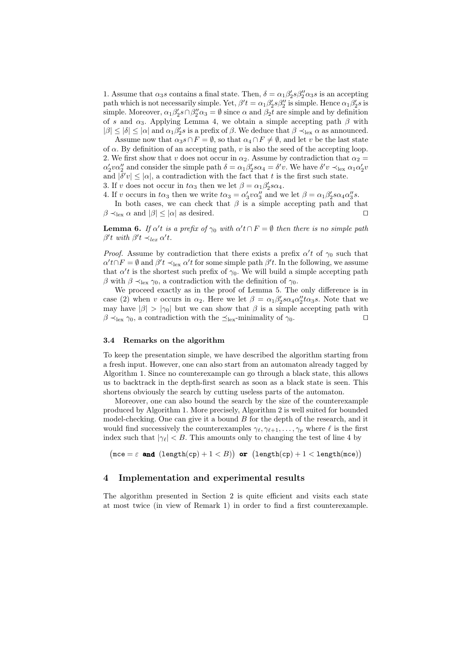1. Assume that  $\alpha_3 s$  contains a final state. Then,  $\delta = \alpha_1 \beta_2' s \beta_2'' \alpha_3 s$  is an accepting path which is not necessarily simple. Yet,  $\beta' t = \alpha_1 \beta_2' s \beta_2''$  is simple. Hence  $\alpha_1 \beta_2' s$  is simple. Moreover,  $\alpha_1\beta_2's \cap \beta_2''\alpha_3 = \emptyset$  since  $\alpha$  and  $\beta_2t$  are simple and by definition of s and  $\alpha_3$ . Applying Lemma 4, we obtain a simple accepting path  $\beta$  with  $|\beta| \le |\delta| \le |\alpha|$  and  $\alpha_1\beta_2's$  is a prefix of  $\beta$ . We deduce that  $\beta \prec_{\text{lex}} \alpha$  as announced.

Assume now that  $\alpha_3 s \cap F = \emptyset$ , so that  $\alpha_4 \cap F \neq \emptyset$ , and let v be the last state of  $\alpha$ . By definition of an accepting path, v is also the seed of the accepting loop. 2. We first show that v does not occur in  $\alpha_2$ . Assume by contradiction that  $\alpha_2 =$  $\alpha'_2 v \alpha''_2$  and consider the simple path  $\delta = \alpha_1 \beta'_2 s \alpha_4 = \delta' v$ . We have  $\delta' v \prec_{\text{lex}} \alpha_1 \alpha'_2 v$ and  $|\delta' v| \leq |\alpha|$ , a contradiction with the fact that t is the first such state. 3. If v does not occur in  $t\alpha_3$  then we let  $\beta = \alpha_1\beta_2's\alpha_4$ .

4. If v occurs in  $t\alpha_3$  then we write  $t\alpha_3 = \alpha'_3 v \alpha''_3$  and we let  $\beta = \alpha_1 \beta'_2 s \alpha_4 \alpha''_3 s$ .

In both cases, we can check that  $\beta$  is a simple accepting path and that  $\beta \prec_{\text{lex}} \alpha$  and  $|\beta| \leq |\alpha|$  as desired.

**Lemma 6.** If  $\alpha'$ t is a prefix of  $\gamma_0$  with  $\alpha'$ t  $\cap$  F =  $\emptyset$  then there is no simple path  $\beta'$ t with  $\beta'$ t  $\prec_{lex} \alpha'$ t.

*Proof.* Assume by contradiction that there exists a prefix  $\alpha'$  of  $\gamma_0$  such that  $\alpha' t \cap F = \emptyset$  and  $\beta' t \prec_{\text{lex}} \alpha' t$  for some simple path  $\beta' t$ . In the following, we assume that  $\alpha'$  is the shortest such prefix of  $\gamma_0$ . We will build a simple accepting path β with  $\beta \prec_{\text{lex}} \gamma_0$ , a contradiction with the definition of  $\gamma_0$ .

We proceed exactly as in the proof of Lemma 5. The only difference is in case (2) when v occurs in  $\alpha_2$ . Here we let  $\beta = \alpha_1 \beta_2 s \alpha_4 \alpha_2'' t \alpha_3 s$ . Note that we may have  $|\beta| > |\gamma_0|$  but we can show that  $\beta$  is a simple accepting path with  $\beta \prec_{\text{lex}} \gamma_0$ , a contradiction with the  $\preceq_{\text{lex}}$ -minimality of  $\gamma_0$ .

#### 3.4 Remarks on the algorithm

To keep the presentation simple, we have described the algorithm starting from a fresh input. However, one can also start from an automaton already tagged by Algorithm 1. Since no counterexample can go through a black state, this allows us to backtrack in the depth-first search as soon as a black state is seen. This shortens obviously the search by cutting useless parts of the automaton.

Moreover, one can also bound the search by the size of the counterexample produced by Algorithm 1. More precisely, Algorithm 2 is well suited for bounded model-checking. One can give it a bound  $B$  for the depth of the research, and it would find successively the counterexamples  $\gamma_{\ell}, \gamma_{\ell+1}, \ldots, \gamma_p$  where  $\ell$  is the first index such that  $|\gamma_{\ell}| < B$ . This amounts only to changing the test of line 4 by

 $(\texttt{mce} = \varepsilon \texttt{ and } (\texttt{length}(\texttt{cp}) + 1 < B)) \texttt{ or } (\texttt{length}(\texttt{cp}) + 1 < \texttt{length}(\texttt{mce}))$ 

## 4 Implementation and experimental results

The algorithm presented in Section 2 is quite efficient and visits each state at most twice (in view of Remark 1) in order to find a first counterexample.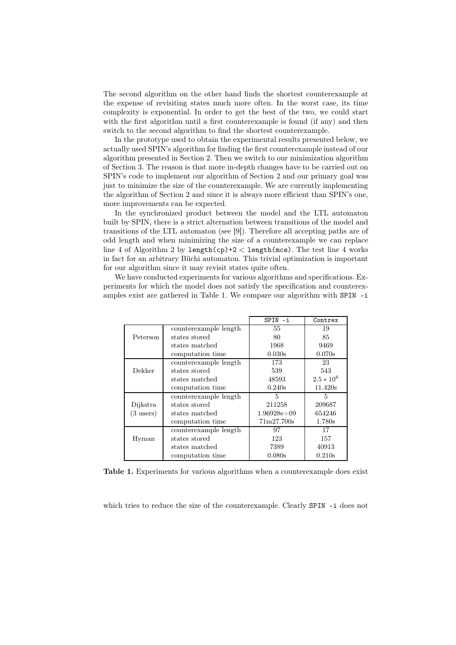The second algorithm on the other hand finds the shortest counterexample at the expense of revisiting states much more often. In the worst case, its time complexity is exponential. In order to get the best of the two, we could start with the first algorithm until a first counterexample is found (if any) and then switch to the second algorithm to find the shortest counterexample.

In the prototype used to obtain the experimental results presented below, we actually used SPIN's algorithm for finding the first counterexample instead of our algorithm presented in Section 2. Then we switch to our minimization algorithm of Section 3. The reason is that more in-depth changes have to be carried out on SPIN's code to implement our algorithm of Section 2 and our primary goal was just to minimize the size of the counterexample. We are currently implementing the algorithm of Section 2 and since it is always more efficient than SPIN's one, more improvements can be expected.

In the synchronized product between the model and the LTL automaton built by SPIN, there is a strict alternation between transitions of the model and transitions of the LTL automaton (see [9]). Therefore all accepting paths are of odd length and when minimizing the size of a counterexample we can replace line 4 of Algorithm 2 by  $length(np)+2 < length(mce)$ . The test line 4 works in fact for an arbitrary Büchi automaton. This trivial optimization is important for our algorithm since it may revisit states quite often.

We have conducted experiments for various algorithms and specifications. Experiments for which the model does not satisfy the specification and counterexamples exist are gathered in Table 1. We compare our algorithm with SPIN -i

|             |                       | $SPIN - i$    | Contrex      |
|-------------|-----------------------|---------------|--------------|
|             | counterexample length | 55            | 19           |
| Peterson    | states stored         | 80            | 85           |
|             | states matched        | 1968          | 9469         |
|             | computation time      | 0.030s        | 0.070s       |
|             | counterexample length | 173           | 23           |
| Dekker      | states stored         | 539           | 543          |
|             | states matched        | 48593         | $2.5 * 10^6$ |
|             | computation time      | 0.240s        | 11.420s      |
|             | counterexample length | 5             | 5            |
| Dijkstra    | states stored         | 211258        | 209687       |
| $(3$ users) | states matched        | $1.96928e+09$ | 654246       |
|             | computation time      | 71m27.700s    | 1.780s       |
|             | counterexample length | 97            | 17           |
| Hyman       | states stored         | 123           | 157          |
|             | states matched        | 7389          | 40913        |
|             | computation time      | 0.080s        | 0.210s       |

Table 1. Experiments for various algorithms when a counterexample does exist

which tries to reduce the size of the counterexample. Clearly SPIN -i does not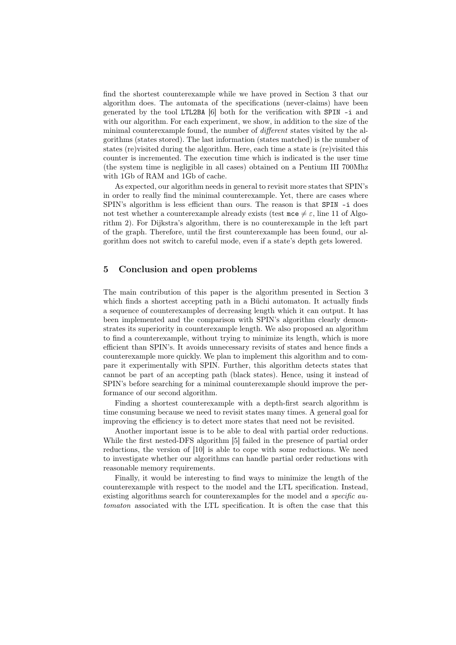find the shortest counterexample while we have proved in Section 3 that our algorithm does. The automata of the specifications (never-claims) have been generated by the tool LTL2BA [6] both for the verification with SPIN -i and with our algorithm. For each experiment, we show, in addition to the size of the minimal counterexample found, the number of different states visited by the algorithms (states stored). The last information (states matched) is the number of states (re)visited during the algorithm. Here, each time a state is (re)visited this counter is incremented. The execution time which is indicated is the user time (the system time is negligible in all cases) obtained on a Pentium III 700Mhz with 1Gb of RAM and 1Gb of cache.

As expected, our algorithm needs in general to revisit more states that SPIN's in order to really find the minimal counterexample. Yet, there are cases where SPIN's algorithm is less efficient than ours. The reason is that SPIN -i does not test whether a counterexample already exists (test more  $\neq \varepsilon$ , line 11 of Algorithm 2). For Dijkstra's algorithm, there is no counterexample in the left part of the graph. Therefore, until the first counterexample has been found, our algorithm does not switch to careful mode, even if a state's depth gets lowered.

# 5 Conclusion and open problems

The main contribution of this paper is the algorithm presented in Section 3 which finds a shortest accepting path in a Büchi automaton. It actually finds a sequence of counterexamples of decreasing length which it can output. It has been implemented and the comparison with SPIN's algorithm clearly demonstrates its superiority in counterexample length. We also proposed an algorithm to find a counterexample, without trying to minimize its length, which is more efficient than SPIN's. It avoids unnecessary revisits of states and hence finds a counterexample more quickly. We plan to implement this algorithm and to compare it experimentally with SPIN. Further, this algorithm detects states that cannot be part of an accepting path (black states). Hence, using it instead of SPIN's before searching for a minimal counterexample should improve the performance of our second algorithm.

Finding a shortest counterexample with a depth-first search algorithm is time consuming because we need to revisit states many times. A general goal for improving the efficiency is to detect more states that need not be revisited.

Another important issue is to be able to deal with partial order reductions. While the first nested-DFS algorithm [5] failed in the presence of partial order reductions, the version of [10] is able to cope with some reductions. We need to investigate whether our algorithms can handle partial order reductions with reasonable memory requirements.

Finally, it would be interesting to find ways to minimize the length of the counterexample with respect to the model and the LTL specification. Instead, existing algorithms search for counterexamples for the model and a specific automaton associated with the LTL specification. It is often the case that this